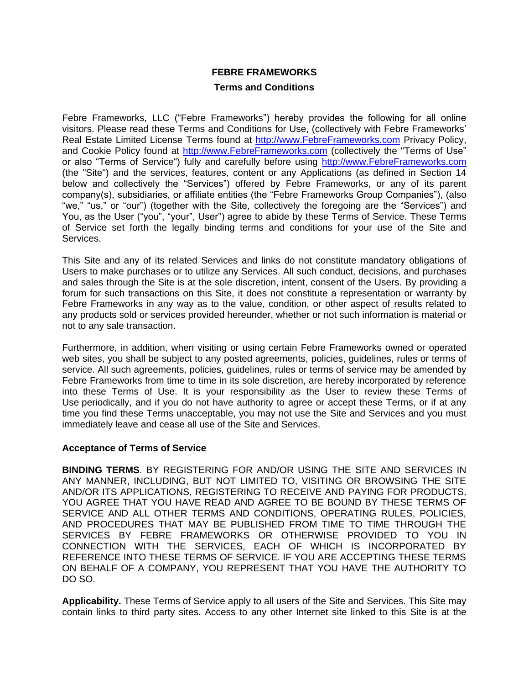# **FEBRE FRAMEWORKS**

# **Terms and Conditions**

Febre Frameworks, LLC ("Febre Frameworks") hereby provides the following for all online visitors. Please read these Terms and Conditions for Use, (collectively with Febre Frameworks' Real Estate Limited License Terms found at [http://www.FebreFrameworks.com](http://www.febreframeworks.com/) Privacy Policy, and Cookie Policy found at [http://www.FebreFrameworks.com](http://www.febreframeworks.com/) (collectively the "Terms of Use" or also "Terms of Service") fully and carefully before using [http://www.FebreFrameworks.com](http://www.febreframeworks.com/) (the "Site") and the services, features, content or any Applications (as defined in Section 14 below and collectively the "Services") offered by Febre Frameworks, or any of its parent company(s), subsidiaries, or affiliate entities (the "Febre Frameworks Group Companies"), (also "we," "us," or "our") (together with the Site, collectively the foregoing are the "Services") and You, as the User ("you", "your", User") agree to abide by these Terms of Service. These Terms of Service set forth the legally binding terms and conditions for your use of the Site and Services.

This Site and any of its related Services and links do not constitute mandatory obligations of Users to make purchases or to utilize any Services. All such conduct, decisions, and purchases and sales through the Site is at the sole discretion, intent, consent of the Users. By providing a forum for such transactions on this Site, it does not constitute a representation or warranty by Febre Frameworks in any way as to the value, condition, or other aspect of results related to any products sold or services provided hereunder, whether or not such information is material or not to any sale transaction.

Furthermore, in addition, when visiting or using certain Febre Frameworks owned or operated web sites, you shall be subject to any posted agreements, policies, guidelines, rules or terms of service. All such agreements, policies, guidelines, rules or terms of service may be amended by Febre Frameworks from time to time in its sole discretion, are hereby incorporated by reference into these Terms of Use. It is your responsibility as the User to review these Terms of Use periodically, and if you do not have authority to agree or accept these Terms, or if at any time you find these Terms unacceptable, you may not use the Site and Services and you must immediately leave and cease all use of the Site and Services.

### **Acceptance of Terms of Service**

**BINDING TERMS**. BY REGISTERING FOR AND/OR USING THE SITE AND SERVICES IN ANY MANNER, INCLUDING, BUT NOT LIMITED TO, VISITING OR BROWSING THE SITE AND/OR ITS APPLICATIONS, REGISTERING TO RECEIVE AND PAYING FOR PRODUCTS, YOU AGREE THAT YOU HAVE READ AND AGREE TO BE BOUND BY THESE TERMS OF SERVICE AND ALL OTHER TERMS AND CONDITIONS, OPERATING RULES, POLICIES, AND PROCEDURES THAT MAY BE PUBLISHED FROM TIME TO TIME THROUGH THE SERVICES BY FEBRE FRAMEWORKS OR OTHERWISE PROVIDED TO YOU IN CONNECTION WITH THE SERVICES, EACH OF WHICH IS INCORPORATED BY REFERENCE INTO THESE TERMS OF SERVICE. IF YOU ARE ACCEPTING THESE TERMS ON BEHALF OF A COMPANY, YOU REPRESENT THAT YOU HAVE THE AUTHORITY TO DO SO.

**Applicability.** These Terms of Service apply to all users of the Site and Services. This Site may contain links to third party sites. Access to any other Internet site linked to this Site is at the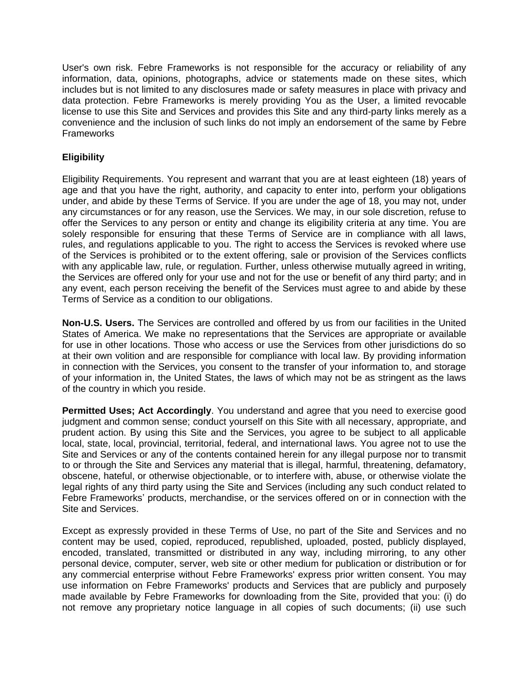User's own risk. Febre Frameworks is not responsible for the accuracy or reliability of any information, data, opinions, photographs, advice or statements made on these sites, which includes but is not limited to any disclosures made or safety measures in place with privacy and data protection. Febre Frameworks is merely providing You as the User, a limited revocable license to use this Site and Services and provides this Site and any third-party links merely as a convenience and the inclusion of such links do not imply an endorsement of the same by Febre **Frameworks** 

# **Eligibility**

Eligibility Requirements. You represent and warrant that you are at least eighteen (18) years of age and that you have the right, authority, and capacity to enter into, perform your obligations under, and abide by these Terms of Service. If you are under the age of 18, you may not, under any circumstances or for any reason, use the Services. We may, in our sole discretion, refuse to offer the Services to any person or entity and change its eligibility criteria at any time. You are solely responsible for ensuring that these Terms of Service are in compliance with all laws, rules, and regulations applicable to you. The right to access the Services is revoked where use of the Services is prohibited or to the extent offering, sale or provision of the Services conflicts with any applicable law, rule, or regulation. Further, unless otherwise mutually agreed in writing, the Services are offered only for your use and not for the use or benefit of any third party; and in any event, each person receiving the benefit of the Services must agree to and abide by these Terms of Service as a condition to our obligations.

**Non-U.S. Users.** The Services are controlled and offered by us from our facilities in the United States of America. We make no representations that the Services are appropriate or available for use in other locations. Those who access or use the Services from other jurisdictions do so at their own volition and are responsible for compliance with local law. By providing information in connection with the Services, you consent to the transfer of your information to, and storage of your information in, the United States, the laws of which may not be as stringent as the laws of the country in which you reside.

**Permitted Uses; Act Accordingly**. You understand and agree that you need to exercise good judgment and common sense; conduct yourself on this Site with all necessary, appropriate, and prudent action. By using this Site and the Services, you agree to be subject to all applicable local, state, local, provincial, territorial, federal, and international laws. You agree not to use the Site and Services or any of the contents contained herein for any illegal purpose nor to transmit to or through the Site and Services any material that is illegal, harmful, threatening, defamatory, obscene, hateful, or otherwise objectionable, or to interfere with, abuse, or otherwise violate the legal rights of any third party using the Site and Services (including any such conduct related to Febre Frameworks' products, merchandise, or the services offered on or in connection with the Site and Services.

Except as expressly provided in these Terms of Use, no part of the Site and Services and no content may be used, copied, reproduced, republished, uploaded, posted, publicly displayed, encoded, translated, transmitted or distributed in any way, including mirroring, to any other personal device, computer, server, web site or other medium for publication or distribution or for any commercial enterprise without Febre Frameworks' express prior written consent. You may use information on Febre Frameworks' products and Services that are publicly and purposely made available by Febre Frameworks for downloading from the Site, provided that you: (i) do not remove any proprietary notice language in all copies of such documents; (ii) use such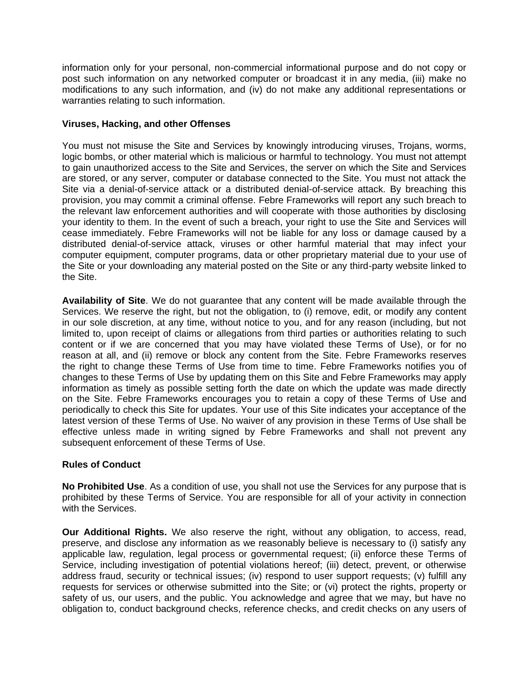information only for your personal, non-commercial informational purpose and do not copy or post such information on any networked computer or broadcast it in any media, (iii) make no modifications to any such information, and (iv) do not make any additional representations or warranties relating to such information.

# **Viruses, Hacking, and other Offenses**

You must not misuse the Site and Services by knowingly introducing viruses, Trojans, worms, logic bombs, or other material which is malicious or harmful to technology. You must not attempt to gain unauthorized access to the Site and Services, the server on which the Site and Services are stored, or any server, computer or database connected to the Site. You must not attack the Site via a denial-of-service attack or a distributed denial-of-service attack. By breaching this provision, you may commit a criminal offense. Febre Frameworks will report any such breach to the relevant law enforcement authorities and will cooperate with those authorities by disclosing your identity to them. In the event of such a breach, your right to use the Site and Services will cease immediately. Febre Frameworks will not be liable for any loss or damage caused by a distributed denial-of-service attack, viruses or other harmful material that may infect your computer equipment, computer programs, data or other proprietary material due to your use of the Site or your downloading any material posted on the Site or any third-party website linked to the Site.

**Availability of Site**. We do not guarantee that any content will be made available through the Services. We reserve the right, but not the obligation, to (i) remove, edit, or modify any content in our sole discretion, at any time, without notice to you, and for any reason (including, but not limited to, upon receipt of claims or allegations from third parties or authorities relating to such content or if we are concerned that you may have violated these Terms of Use), or for no reason at all, and (ii) remove or block any content from the Site. Febre Frameworks reserves the right to change these Terms of Use from time to time. Febre Frameworks notifies you of changes to these Terms of Use by updating them on this Site and Febre Frameworks may apply information as timely as possible setting forth the date on which the update was made directly on the Site. Febre Frameworks encourages you to retain a copy of these Terms of Use and periodically to check this Site for updates. Your use of this Site indicates your acceptance of the latest version of these Terms of Use. No waiver of any provision in these Terms of Use shall be effective unless made in writing signed by Febre Frameworks and shall not prevent any subsequent enforcement of these Terms of Use.

### **Rules of Conduct**

**No Prohibited Use**. As a condition of use, you shall not use the Services for any purpose that is prohibited by these Terms of Service. You are responsible for all of your activity in connection with the Services.

**Our Additional Rights.** We also reserve the right, without any obligation, to access, read, preserve, and disclose any information as we reasonably believe is necessary to (i) satisfy any applicable law, regulation, legal process or governmental request; (ii) enforce these Terms of Service, including investigation of potential violations hereof; (iii) detect, prevent, or otherwise address fraud, security or technical issues; (iv) respond to user support requests; (v) fulfill any requests for services or otherwise submitted into the Site; or (vi) protect the rights, property or safety of us, our users, and the public. You acknowledge and agree that we may, but have no obligation to, conduct background checks, reference checks, and credit checks on any users of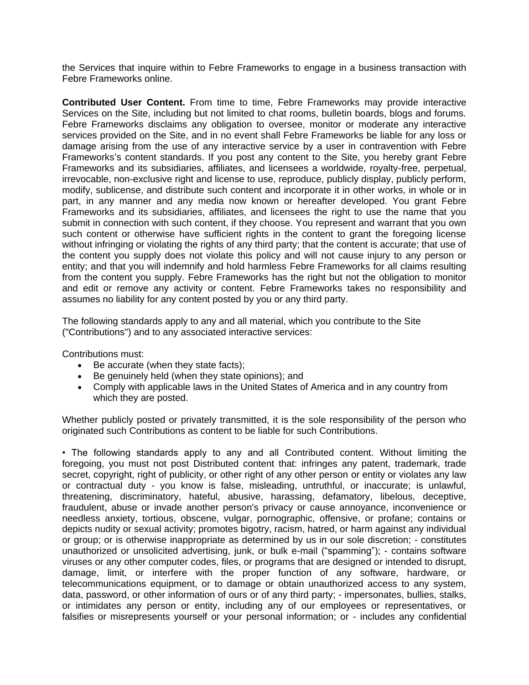the Services that inquire within to Febre Frameworks to engage in a business transaction with Febre Frameworks online.

**Contributed User Content.** From time to time, Febre Frameworks may provide interactive Services on the Site, including but not limited to chat rooms, bulletin boards, blogs and forums. Febre Frameworks disclaims any obligation to oversee, monitor or moderate any interactive services provided on the Site, and in no event shall Febre Frameworks be liable for any loss or damage arising from the use of any interactive service by a user in contravention with Febre Frameworks's content standards. If you post any content to the Site, you hereby grant Febre Frameworks and its subsidiaries, affiliates, and licensees a worldwide, royalty-free, perpetual, irrevocable, non-exclusive right and license to use, reproduce, publicly display, publicly perform, modify, sublicense, and distribute such content and incorporate it in other works, in whole or in part, in any manner and any media now known or hereafter developed. You grant Febre Frameworks and its subsidiaries, affiliates, and licensees the right to use the name that you submit in connection with such content, if they choose. You represent and warrant that you own such content or otherwise have sufficient rights in the content to grant the foregoing license without infringing or violating the rights of any third party; that the content is accurate; that use of the content you supply does not violate this policy and will not cause injury to any person or entity; and that you will indemnify and hold harmless Febre Frameworks for all claims resulting from the content you supply. Febre Frameworks has the right but not the obligation to monitor and edit or remove any activity or content. Febre Frameworks takes no responsibility and assumes no liability for any content posted by you or any third party.

The following standards apply to any and all material, which you contribute to the Site ("Contributions") and to any associated interactive services:

Contributions must:

- Be accurate (when they state facts);
- Be genuinely held (when they state opinions); and
- Comply with applicable laws in the United States of America and in any country from which they are posted.

Whether publicly posted or privately transmitted, it is the sole responsibility of the person who originated such Contributions as content to be liable for such Contributions.

• The following standards apply to any and all Contributed content. Without limiting the foregoing, you must not post Distributed content that: infringes any patent, trademark, trade secret, copyright, right of publicity, or other right of any other person or entity or violates any law or contractual duty - you know is false, misleading, untruthful, or inaccurate; is unlawful, threatening, discriminatory, hateful, abusive, harassing, defamatory, libelous, deceptive, fraudulent, abuse or invade another person's privacy or cause annoyance, inconvenience or needless anxiety, tortious, obscene, vulgar, pornographic, offensive, or profane; contains or depicts nudity or sexual activity; promotes bigotry, racism, hatred, or harm against any individual or group; or is otherwise inappropriate as determined by us in our sole discretion; - constitutes unauthorized or unsolicited advertising, junk, or bulk e-mail ("spamming"); - contains software viruses or any other computer codes, files, or programs that are designed or intended to disrupt, damage, limit, or interfere with the proper function of any software, hardware, or telecommunications equipment, or to damage or obtain unauthorized access to any system, data, password, or other information of ours or of any third party; - impersonates, bullies, stalks, or intimidates any person or entity, including any of our employees or representatives, or falsifies or misrepresents yourself or your personal information; or - includes any confidential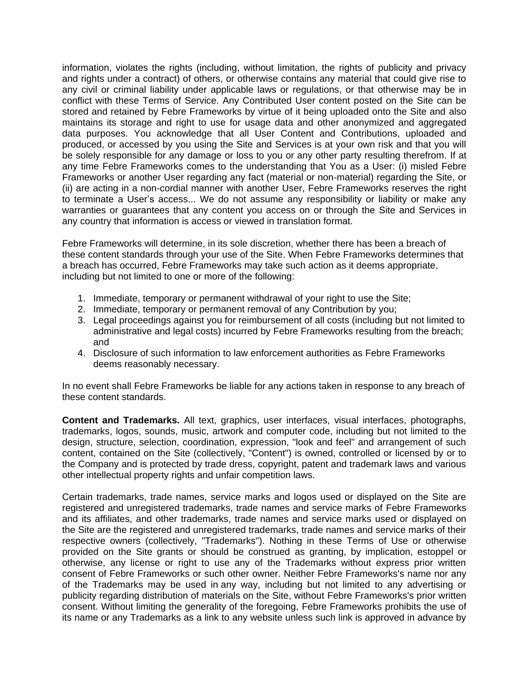information, violates the rights (including, without limitation, the rights of publicity and privacy and rights under a contract) of others, or otherwise contains any material that could give rise to any civil or criminal liability under applicable laws or regulations, or that otherwise may be in conflict with these Terms of Service. Any Contributed User content posted on the Site can be stored and retained by Febre Frameworks by virtue of it being uploaded onto the Site and also maintains its storage and right to use for usage data and other anonymized and aggregated data purposes. You acknowledge that all User Content and Contributions, uploaded and produced, or accessed by you using the Site and Services is at your own risk and that you will be solely responsible for any damage or loss to you or any other party resulting therefrom. If at any time Febre Frameworks comes to the understanding that You as a User: (i) misled Febre Frameworks or another User regarding any fact (material or non-material) regarding the Site, or (ii) are acting in a non-cordial manner with another User, Febre Frameworks reserves the right to terminate a User's access... We do not assume any responsibility or liability or make any warranties or guarantees that any content you access on or through the Site and Services in any country that information is access or viewed in translation format.

Febre Frameworks will determine, in its sole discretion, whether there has been a breach of these content standards through your use of the Site. When Febre Frameworks determines that a breach has occurred, Febre Frameworks may take such action as it deems appropriate, including but not limited to one or more of the following:

- 1. Immediate, temporary or permanent withdrawal of your right to use the Site;
- 2. Immediate, temporary or permanent removal of any Contribution by you;
- 3. Legal proceedings against you for reimbursement of all costs (including but not limited to administrative and legal costs) incurred by Febre Frameworks resulting from the breach; and
- 4. Disclosure of such information to law enforcement authorities as Febre Frameworks deems reasonably necessary.

In no event shall Febre Frameworks be liable for any actions taken in response to any breach of these content standards.

**Content and Trademarks.** All text, graphics, user interfaces, visual interfaces, photographs, trademarks, logos, sounds, music, artwork and computer code, including but not limited to the design, structure, selection, coordination, expression, "look and feel" and arrangement of such content, contained on the Site (collectively, "Content") is owned, controlled or licensed by or to the Company and is protected by trade dress, copyright, patent and trademark laws and various other intellectual property rights and unfair competition laws.

Certain trademarks, trade names, service marks and logos used or displayed on the Site are registered and unregistered trademarks, trade names and service marks of Febre Frameworks and its affiliates, and other trademarks, trade names and service marks used or displayed on the Site are the registered and unregistered trademarks, trade names and service marks of their respective owners (collectively, "Trademarks"). Nothing in these Terms of Use or otherwise provided on the Site grants or should be construed as granting, by implication, estoppel or otherwise, any license or right to use any of the Trademarks without express prior written consent of Febre Frameworks or such other owner. Neither Febre Frameworks's name nor any of the Trademarks may be used in any way, including but not limited to any advertising or publicity regarding distribution of materials on the Site, without Febre Frameworks's prior written consent. Without limiting the generality of the foregoing, Febre Frameworks prohibits the use of its name or any Trademarks as a link to any website unless such link is approved in advance by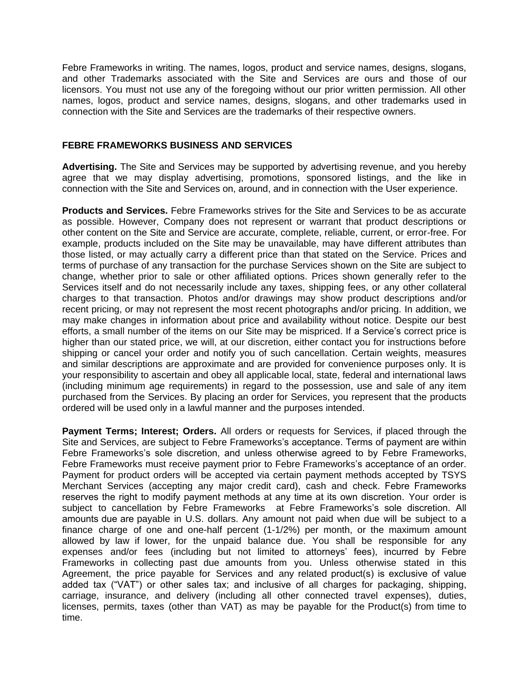Febre Frameworks in writing. The names, logos, product and service names, designs, slogans, and other Trademarks associated with the Site and Services are ours and those of our licensors. You must not use any of the foregoing without our prior written permission. All other names, logos, product and service names, designs, slogans, and other trademarks used in connection with the Site and Services are the trademarks of their respective owners.

### **FEBRE FRAMEWORKS BUSINESS AND SERVICES**

**Advertising.** The Site and Services may be supported by advertising revenue, and you hereby agree that we may display advertising, promotions, sponsored listings, and the like in connection with the Site and Services on, around, and in connection with the User experience.

**Products and Services.** Febre Frameworks strives for the Site and Services to be as accurate as possible. However, Company does not represent or warrant that product descriptions or other content on the Site and Service are accurate, complete, reliable, current, or error-free. For example, products included on the Site may be unavailable, may have different attributes than those listed, or may actually carry a different price than that stated on the Service. Prices and terms of purchase of any transaction for the purchase Services shown on the Site are subject to change, whether prior to sale or other affiliated options. Prices shown generally refer to the Services itself and do not necessarily include any taxes, shipping fees, or any other collateral charges to that transaction. Photos and/or drawings may show product descriptions and/or recent pricing, or may not represent the most recent photographs and/or pricing. In addition, we may make changes in information about price and availability without notice. Despite our best efforts, a small number of the items on our Site may be mispriced. If a Service's correct price is higher than our stated price, we will, at our discretion, either contact you for instructions before shipping or cancel your order and notify you of such cancellation. Certain weights, measures and similar descriptions are approximate and are provided for convenience purposes only. It is your responsibility to ascertain and obey all applicable local, state, federal and international laws (including minimum age requirements) in regard to the possession, use and sale of any item purchased from the Services. By placing an order for Services, you represent that the products ordered will be used only in a lawful manner and the purposes intended.

**Payment Terms; Interest; Orders.** All orders or requests for Services, if placed through the Site and Services, are subject to Febre Frameworks's acceptance. Terms of payment are within Febre Frameworks's sole discretion, and unless otherwise agreed to by Febre Frameworks, Febre Frameworks must receive payment prior to Febre Frameworks's acceptance of an order. Payment for product orders will be accepted via certain payment methods accepted by TSYS Merchant Services (accepting any major credit card), cash and check. Febre Frameworks reserves the right to modify payment methods at any time at its own discretion. Your order is subject to cancellation by Febre Frameworks at Febre Frameworks's sole discretion. All amounts due are payable in U.S. dollars. Any amount not paid when due will be subject to a finance charge of one and one-half percent (1-1/2%) per month, or the maximum amount allowed by law if lower, for the unpaid balance due. You shall be responsible for any expenses and/or fees (including but not limited to attorneys' fees), incurred by Febre Frameworks in collecting past due amounts from you. Unless otherwise stated in this Agreement, the price payable for Services and any related product(s) is exclusive of value added tax ("VAT") or other sales tax; and inclusive of all charges for packaging, shipping, carriage, insurance, and delivery (including all other connected travel expenses), duties, licenses, permits, taxes (other than VAT) as may be payable for the Product(s) from time to time.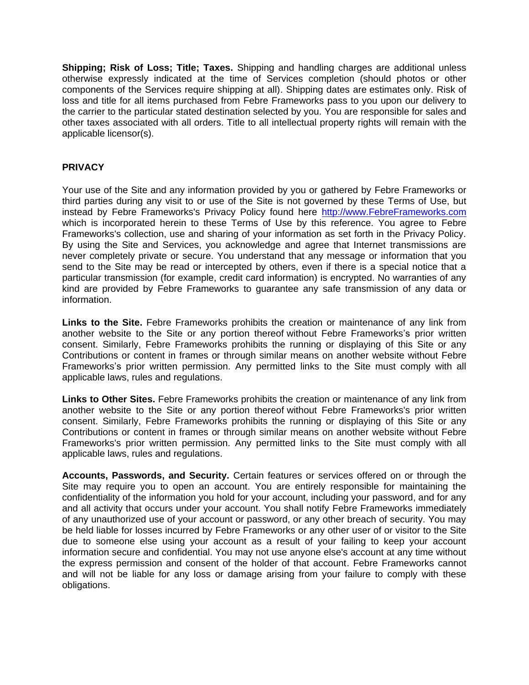**Shipping; Risk of Loss; Title; Taxes.** Shipping and handling charges are additional unless otherwise expressly indicated at the time of Services completion (should photos or other components of the Services require shipping at all). Shipping dates are estimates only. Risk of loss and title for all items purchased from Febre Frameworks pass to you upon our delivery to the carrier to the particular stated destination selected by you. You are responsible for sales and other taxes associated with all orders. Title to all intellectual property rights will remain with the applicable licensor(s).

# **PRIVACY**

Your use of the Site and any information provided by you or gathered by Febre Frameworks or third parties during any visit to or use of the Site is not governed by these Terms of Use, but instead by Febre Frameworks's Privacy Policy found here [http://www.FebreFrameworks.com](http://www.febreframeworks.com/) which is incorporated herein to these Terms of Use by this reference. You agree to Febre Frameworks's collection, use and sharing of your information as set forth in the Privacy Policy. By using the Site and Services, you acknowledge and agree that Internet transmissions are never completely private or secure. You understand that any message or information that you send to the Site may be read or intercepted by others, even if there is a special notice that a particular transmission (for example, credit card information) is encrypted. No warranties of any kind are provided by Febre Frameworks to guarantee any safe transmission of any data or information.

**Links to the Site.** Febre Frameworks prohibits the creation or maintenance of any link from another website to the Site or any portion thereof without Febre Frameworks's prior written consent. Similarly, Febre Frameworks prohibits the running or displaying of this Site or any Contributions or content in frames or through similar means on another website without Febre Frameworks's prior written permission. Any permitted links to the Site must comply with all applicable laws, rules and regulations.

**Links to Other Sites.** Febre Frameworks prohibits the creation or maintenance of any link from another website to the Site or any portion thereof without Febre Frameworks's prior written consent. Similarly, Febre Frameworks prohibits the running or displaying of this Site or any Contributions or content in frames or through similar means on another website without Febre Frameworks's prior written permission. Any permitted links to the Site must comply with all applicable laws, rules and regulations.

**Accounts, Passwords, and Security.** Certain features or services offered on or through the Site may require you to open an account. You are entirely responsible for maintaining the confidentiality of the information you hold for your account, including your password, and for any and all activity that occurs under your account. You shall notify Febre Frameworks immediately of any unauthorized use of your account or password, or any other breach of security. You may be held liable for losses incurred by Febre Frameworks or any other user of or visitor to the Site due to someone else using your account as a result of your failing to keep your account information secure and confidential. You may not use anyone else's account at any time without the express permission and consent of the holder of that account. Febre Frameworks cannot and will not be liable for any loss or damage arising from your failure to comply with these obligations.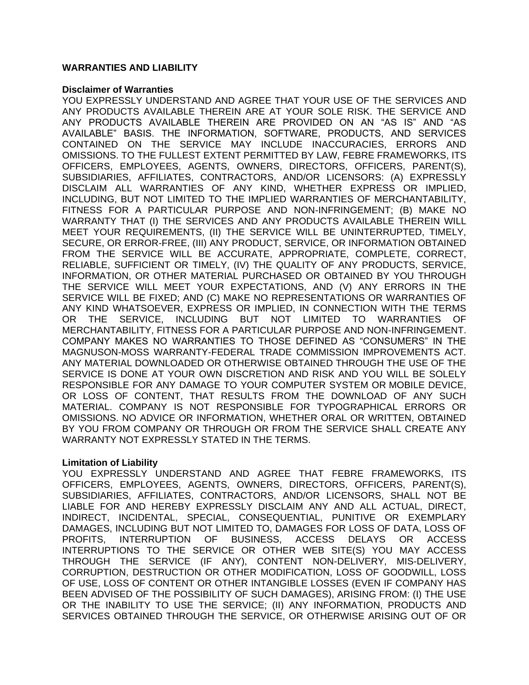### **WARRANTIES AND LIABILITY**

#### **Disclaimer of Warranties**

YOU EXPRESSLY UNDERSTAND AND AGREE THAT YOUR USE OF THE SERVICES AND ANY PRODUCTS AVAILABLE THEREIN ARE AT YOUR SOLE RISK. THE SERVICE AND ANY PRODUCTS AVAILABLE THEREIN ARE PROVIDED ON AN "AS IS" AND "AS AVAILABLE" BASIS. THE INFORMATION, SOFTWARE, PRODUCTS, AND SERVICES CONTAINED ON THE SERVICE MAY INCLUDE INACCURACIES, ERRORS AND OMISSIONS. TO THE FULLEST EXTENT PERMITTED BY LAW, FEBRE FRAMEWORKS, ITS OFFICERS, EMPLOYEES, AGENTS, OWNERS, DIRECTORS, OFFICERS, PARENT(S), SUBSIDIARIES, AFFILIATES, CONTRACTORS, AND/OR LICENSORS: (A) EXPRESSLY DISCLAIM ALL WARRANTIES OF ANY KIND, WHETHER EXPRESS OR IMPLIED, INCLUDING, BUT NOT LIMITED TO THE IMPLIED WARRANTIES OF MERCHANTABILITY, FITNESS FOR A PARTICULAR PURPOSE AND NON-INFRINGEMENT; (B) MAKE NO WARRANTY THAT (I) THE SERVICES AND ANY PRODUCTS AVAILABLE THEREIN WILL MEET YOUR REQUIREMENTS, (II) THE SERVICE WILL BE UNINTERRUPTED, TIMELY, SECURE, OR ERROR-FREE, (III) ANY PRODUCT, SERVICE, OR INFORMATION OBTAINED FROM THE SERVICE WILL BE ACCURATE, APPROPRIATE, COMPLETE, CORRECT, RELIABLE, SUFFICIENT OR TIMELY, (IV) THE QUALITY OF ANY PRODUCTS, SERVICE, INFORMATION, OR OTHER MATERIAL PURCHASED OR OBTAINED BY YOU THROUGH THE SERVICE WILL MEET YOUR EXPECTATIONS, AND (V) ANY ERRORS IN THE SERVICE WILL BE FIXED; AND (C) MAKE NO REPRESENTATIONS OR WARRANTIES OF ANY KIND WHATSOEVER, EXPRESS OR IMPLIED, IN CONNECTION WITH THE TERMS OR THE SERVICE, INCLUDING BUT NOT LIMITED TO WARRANTIES OF MERCHANTABILITY, FITNESS FOR A PARTICULAR PURPOSE AND NON-INFRINGEMENT. COMPANY MAKES NO WARRANTIES TO THOSE DEFINED AS "CONSUMERS" IN THE MAGNUSON-MOSS WARRANTY-FEDERAL TRADE COMMISSION IMPROVEMENTS ACT. ANY MATERIAL DOWNLOADED OR OTHERWISE OBTAINED THROUGH THE USE OF THE SERVICE IS DONE AT YOUR OWN DISCRETION AND RISK AND YOU WILL BE SOLELY RESPONSIBLE FOR ANY DAMAGE TO YOUR COMPUTER SYSTEM OR MOBILE DEVICE, OR LOSS OF CONTENT, THAT RESULTS FROM THE DOWNLOAD OF ANY SUCH MATERIAL. COMPANY IS NOT RESPONSIBLE FOR TYPOGRAPHICAL ERRORS OR OMISSIONS. NO ADVICE OR INFORMATION, WHETHER ORAL OR WRITTEN, OBTAINED BY YOU FROM COMPANY OR THROUGH OR FROM THE SERVICE SHALL CREATE ANY WARRANTY NOT EXPRESSLY STATED IN THE TERMS.

### **Limitation of Liability**

YOU EXPRESSLY UNDERSTAND AND AGREE THAT FEBRE FRAMEWORKS, ITS OFFICERS, EMPLOYEES, AGENTS, OWNERS, DIRECTORS, OFFICERS, PARENT(S), SUBSIDIARIES, AFFILIATES, CONTRACTORS, AND/OR LICENSORS, SHALL NOT BE LIABLE FOR AND HEREBY EXPRESSLY DISCLAIM ANY AND ALL ACTUAL, DIRECT, INDIRECT, INCIDENTAL, SPECIAL, CONSEQUENTIAL, PUNITIVE OR EXEMPLARY DAMAGES, INCLUDING BUT NOT LIMITED TO, DAMAGES FOR LOSS OF DATA, LOSS OF PROFITS, INTERRUPTION OF BUSINESS, ACCESS DELAYS OR ACCESS INTERRUPTIONS TO THE SERVICE OR OTHER WEB SITE(S) YOU MAY ACCESS THROUGH THE SERVICE (IF ANY), CONTENT NON-DELIVERY, MIS-DELIVERY, CORRUPTION, DESTRUCTION OR OTHER MODIFICATION, LOSS OF GOODWILL, LOSS OF USE, LOSS OF CONTENT OR OTHER INTANGIBLE LOSSES (EVEN IF COMPANY HAS BEEN ADVISED OF THE POSSIBILITY OF SUCH DAMAGES), ARISING FROM: (I) THE USE OR THE INABILITY TO USE THE SERVICE; (II) ANY INFORMATION, PRODUCTS AND SERVICES OBTAINED THROUGH THE SERVICE, OR OTHERWISE ARISING OUT OF OR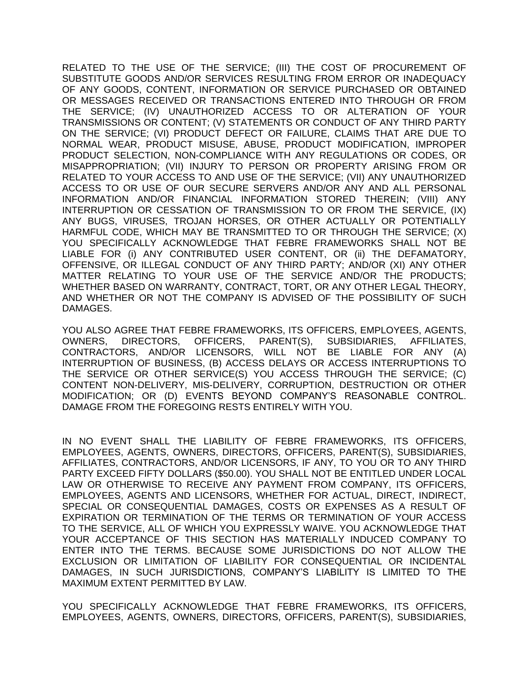RELATED TO THE USE OF THE SERVICE; (III) THE COST OF PROCUREMENT OF SUBSTITUTE GOODS AND/OR SERVICES RESULTING FROM ERROR OR INADEQUACY OF ANY GOODS, CONTENT, INFORMATION OR SERVICE PURCHASED OR OBTAINED OR MESSAGES RECEIVED OR TRANSACTIONS ENTERED INTO THROUGH OR FROM THE SERVICE; (IV) UNAUTHORIZED ACCESS TO OR ALTERATION OF YOUR TRANSMISSIONS OR CONTENT; (V) STATEMENTS OR CONDUCT OF ANY THIRD PARTY ON THE SERVICE; (VI) PRODUCT DEFECT OR FAILURE, CLAIMS THAT ARE DUE TO NORMAL WEAR, PRODUCT MISUSE, ABUSE, PRODUCT MODIFICATION, IMPROPER PRODUCT SELECTION, NON-COMPLIANCE WITH ANY REGULATIONS OR CODES, OR MISAPPROPRIATION; (VII) INJURY TO PERSON OR PROPERTY ARISING FROM OR RELATED TO YOUR ACCESS TO AND USE OF THE SERVICE; (VII) ANY UNAUTHORIZED ACCESS TO OR USE OF OUR SECURE SERVERS AND/OR ANY AND ALL PERSONAL INFORMATION AND/OR FINANCIAL INFORMATION STORED THEREIN; (VIII) ANY INTERRUPTION OR CESSATION OF TRANSMISSION TO OR FROM THE SERVICE, (IX) ANY BUGS, VIRUSES, TROJAN HORSES, OR OTHER ACTUALLY OR POTENTIALLY HARMFUL CODE, WHICH MAY BE TRANSMITTED TO OR THROUGH THE SERVICE; (X) YOU SPECIFICALLY ACKNOWLEDGE THAT FEBRE FRAMEWORKS SHALL NOT BE LIABLE FOR (i) ANY CONTRIBUTED USER CONTENT, OR (ii) THE DEFAMATORY, OFFENSIVE, OR ILLEGAL CONDUCT OF ANY THIRD PARTY; AND/OR (XI) ANY OTHER MATTER RELATING TO YOUR USE OF THE SERVICE AND/OR THE PRODUCTS; WHETHER BASED ON WARRANTY, CONTRACT, TORT, OR ANY OTHER LEGAL THEORY, AND WHETHER OR NOT THE COMPANY IS ADVISED OF THE POSSIBILITY OF SUCH DAMAGES.

YOU ALSO AGREE THAT FEBRE FRAMEWORKS, ITS OFFICERS, EMPLOYEES, AGENTS, OWNERS, DIRECTORS, OFFICERS, PARENT(S), SUBSIDIARIES, AFFILIATES, CONTRACTORS, AND/OR LICENSORS, WILL NOT BE LIABLE FOR ANY (A) INTERRUPTION OF BUSINESS, (B) ACCESS DELAYS OR ACCESS INTERRUPTIONS TO THE SERVICE OR OTHER SERVICE(S) YOU ACCESS THROUGH THE SERVICE; (C) CONTENT NON-DELIVERY, MIS-DELIVERY, CORRUPTION, DESTRUCTION OR OTHER MODIFICATION; OR (D) EVENTS BEYOND COMPANY'S REASONABLE CONTROL. DAMAGE FROM THE FOREGOING RESTS ENTIRELY WITH YOU.

IN NO EVENT SHALL THE LIABILITY OF FEBRE FRAMEWORKS, ITS OFFICERS, EMPLOYEES, AGENTS, OWNERS, DIRECTORS, OFFICERS, PARENT(S), SUBSIDIARIES, AFFILIATES, CONTRACTORS, AND/OR LICENSORS, IF ANY, TO YOU OR TO ANY THIRD PARTY EXCEED FIFTY DOLLARS (\$50.00). YOU SHALL NOT BE ENTITLED UNDER LOCAL LAW OR OTHERWISE TO RECEIVE ANY PAYMENT FROM COMPANY, ITS OFFICERS, EMPLOYEES, AGENTS AND LICENSORS, WHETHER FOR ACTUAL, DIRECT, INDIRECT, SPECIAL OR CONSEQUENTIAL DAMAGES, COSTS OR EXPENSES AS A RESULT OF EXPIRATION OR TERMINATION OF THE TERMS OR TERMINATION OF YOUR ACCESS TO THE SERVICE, ALL OF WHICH YOU EXPRESSLY WAIVE. YOU ACKNOWLEDGE THAT YOUR ACCEPTANCE OF THIS SECTION HAS MATERIALLY INDUCED COMPANY TO ENTER INTO THE TERMS. BECAUSE SOME JURISDICTIONS DO NOT ALLOW THE EXCLUSION OR LIMITATION OF LIABILITY FOR CONSEQUENTIAL OR INCIDENTAL DAMAGES, IN SUCH JURISDICTIONS, COMPANY'S LIABILITY IS LIMITED TO THE MAXIMUM EXTENT PERMITTED BY LAW.

YOU SPECIFICALLY ACKNOWLEDGE THAT FEBRE FRAMEWORKS, ITS OFFICERS, EMPLOYEES, AGENTS, OWNERS, DIRECTORS, OFFICERS, PARENT(S), SUBSIDIARIES,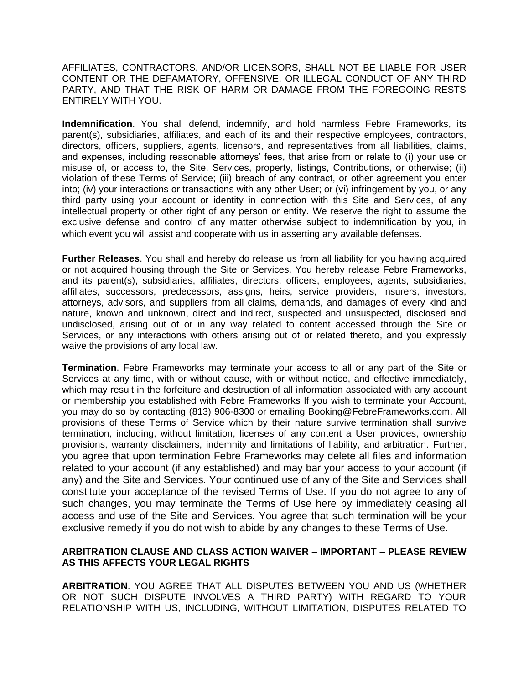AFFILIATES, CONTRACTORS, AND/OR LICENSORS, SHALL NOT BE LIABLE FOR USER CONTENT OR THE DEFAMATORY, OFFENSIVE, OR ILLEGAL CONDUCT OF ANY THIRD PARTY, AND THAT THE RISK OF HARM OR DAMAGE FROM THE FOREGOING RESTS ENTIRELY WITH YOU.

**Indemnification**. You shall defend, indemnify, and hold harmless Febre Frameworks, its parent(s), subsidiaries, affiliates, and each of its and their respective employees, contractors, directors, officers, suppliers, agents, licensors, and representatives from all liabilities, claims, and expenses, including reasonable attorneys' fees, that arise from or relate to (i) your use or misuse of, or access to, the Site, Services, property, listings, Contributions, or otherwise; (ii) violation of these Terms of Service; (iii) breach of any contract, or other agreement you enter into; (iv) your interactions or transactions with any other User; or (vi) infringement by you, or any third party using your account or identity in connection with this Site and Services, of any intellectual property or other right of any person or entity. We reserve the right to assume the exclusive defense and control of any matter otherwise subject to indemnification by you, in which event you will assist and cooperate with us in asserting any available defenses.

**Further Releases**. You shall and hereby do release us from all liability for you having acquired or not acquired housing through the Site or Services. You hereby release Febre Frameworks, and its parent(s), subsidiaries, affiliates, directors, officers, employees, agents, subsidiaries, affiliates, successors, predecessors, assigns, heirs, service providers, insurers, investors, attorneys, advisors, and suppliers from all claims, demands, and damages of every kind and nature, known and unknown, direct and indirect, suspected and unsuspected, disclosed and undisclosed, arising out of or in any way related to content accessed through the Site or Services, or any interactions with others arising out of or related thereto, and you expressly waive the provisions of any local law.

**Termination**. Febre Frameworks may terminate your access to all or any part of the Site or Services at any time, with or without cause, with or without notice, and effective immediately, which may result in the forfeiture and destruction of all information associated with any account or membership you established with Febre Frameworks If you wish to terminate your Account, you may do so by contacting (813) 906-8300 or emailing Booking@FebreFrameworks.com. All provisions of these Terms of Service which by their nature survive termination shall survive termination, including, without limitation, licenses of any content a User provides, ownership provisions, warranty disclaimers, indemnity and limitations of liability, and arbitration. Further, you agree that upon termination Febre Frameworks may delete all files and information related to your account (if any established) and may bar your access to your account (if any) and the Site and Services. Your continued use of any of the Site and Services shall constitute your acceptance of the revised Terms of Use. If you do not agree to any of such changes, you may terminate the Terms of Use here by immediately ceasing all access and use of the Site and Services. You agree that such termination will be your exclusive remedy if you do not wish to abide by any changes to these Terms of Use.

# **ARBITRATION CLAUSE AND CLASS ACTION WAIVER – IMPORTANT – PLEASE REVIEW AS THIS AFFECTS YOUR LEGAL RIGHTS**

**ARBITRATION**. YOU AGREE THAT ALL DISPUTES BETWEEN YOU AND US (WHETHER OR NOT SUCH DISPUTE INVOLVES A THIRD PARTY) WITH REGARD TO YOUR RELATIONSHIP WITH US, INCLUDING, WITHOUT LIMITATION, DISPUTES RELATED TO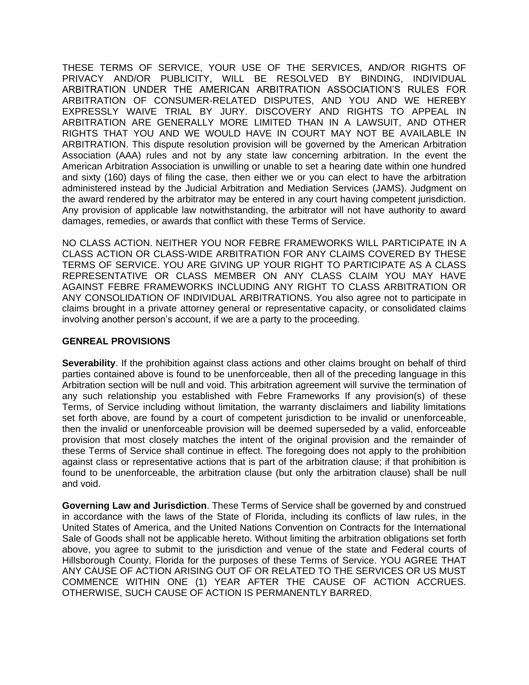THESE TERMS OF SERVICE, YOUR USE OF THE SERVICES, AND/OR RIGHTS OF PRIVACY AND/OR PUBLICITY, WILL BE RESOLVED BY BINDING, INDIVIDUAL ARBITRATION UNDER THE AMERICAN ARBITRATION ASSOCIATION'S RULES FOR ARBITRATION OF CONSUMER-RELATED DISPUTES, AND YOU AND WE HEREBY EXPRESSLY WAIVE TRIAL BY JURY. DISCOVERY AND RIGHTS TO APPEAL IN ARBITRATION ARE GENERALLY MORE LIMITED THAN IN A LAWSUIT, AND OTHER RIGHTS THAT YOU AND WE WOULD HAVE IN COURT MAY NOT BE AVAILABLE IN ARBITRATION. This dispute resolution provision will be governed by the American Arbitration Association (AAA) rules and not by any state law concerning arbitration. In the event the American Arbitration Association is unwilling or unable to set a hearing date within one hundred and sixty (160) days of filing the case, then either we or you can elect to have the arbitration administered instead by the Judicial Arbitration and Mediation Services (JAMS). Judgment on the award rendered by the arbitrator may be entered in any court having competent jurisdiction. Any provision of applicable law notwithstanding, the arbitrator will not have authority to award damages, remedies, or awards that conflict with these Terms of Service.

NO CLASS ACTION. NEITHER YOU NOR FEBRE FRAMEWORKS WILL PARTICIPATE IN A CLASS ACTION OR CLASS-WIDE ARBITRATION FOR ANY CLAIMS COVERED BY THESE TERMS OF SERVICE. YOU ARE GIVING UP YOUR RIGHT TO PARTICIPATE AS A CLASS REPRESENTATIVE OR CLASS MEMBER ON ANY CLASS CLAIM YOU MAY HAVE AGAINST FEBRE FRAMEWORKS INCLUDING ANY RIGHT TO CLASS ARBITRATION OR ANY CONSOLIDATION OF INDIVIDUAL ARBITRATIONS. You also agree not to participate in claims brought in a private attorney general or representative capacity, or consolidated claims involving another person's account, if we are a party to the proceeding.

# **GENREAL PROVISIONS**

**Severability**. If the prohibition against class actions and other claims brought on behalf of third parties contained above is found to be unenforceable, then all of the preceding language in this Arbitration section will be null and void. This arbitration agreement will survive the termination of any such relationship you established with Febre Frameworks If any provision(s) of these Terms, of Service including without limitation, the warranty disclaimers and liability limitations set forth above, are found by a court of competent jurisdiction to be invalid or unenforceable, then the invalid or unenforceable provision will be deemed superseded by a valid, enforceable provision that most closely matches the intent of the original provision and the remainder of these Terms of Service shall continue in effect. The foregoing does not apply to the prohibition against class or representative actions that is part of the arbitration clause; if that prohibition is found to be unenforceable, the arbitration clause (but only the arbitration clause) shall be null and void.

**Governing Law and Jurisdiction**. These Terms of Service shall be governed by and construed in accordance with the laws of the State of Florida, including its conflicts of law rules, in the United States of America, and the United Nations Convention on Contracts for the International Sale of Goods shall not be applicable hereto. Without limiting the arbitration obligations set forth above, you agree to submit to the jurisdiction and venue of the state and Federal courts of Hillsborough County, Florida for the purposes of these Terms of Service. YOU AGREE THAT ANY CAUSE OF ACTION ARISING OUT OF OR RELATED TO THE SERVICES OR US MUST COMMENCE WITHIN ONE (1) YEAR AFTER THE CAUSE OF ACTION ACCRUES. OTHERWISE, SUCH CAUSE OF ACTION IS PERMANENTLY BARRED.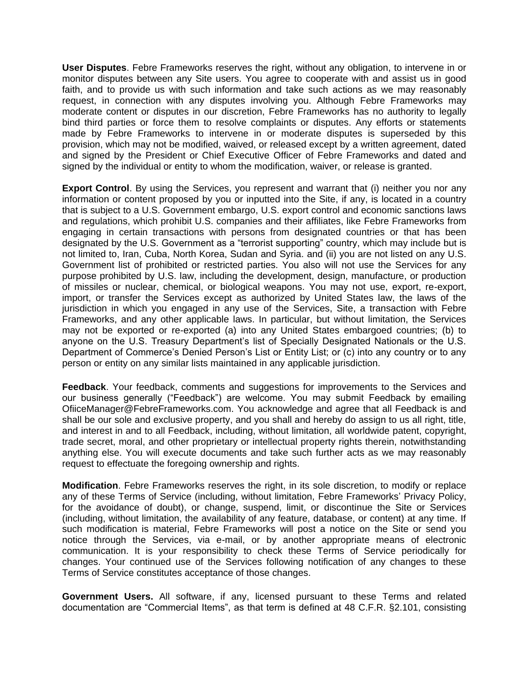**User Disputes**. Febre Frameworks reserves the right, without any obligation, to intervene in or monitor disputes between any Site users. You agree to cooperate with and assist us in good faith, and to provide us with such information and take such actions as we may reasonably request, in connection with any disputes involving you. Although Febre Frameworks may moderate content or disputes in our discretion, Febre Frameworks has no authority to legally bind third parties or force them to resolve complaints or disputes. Any efforts or statements made by Febre Frameworks to intervene in or moderate disputes is superseded by this provision, which may not be modified, waived, or released except by a written agreement, dated and signed by the President or Chief Executive Officer of Febre Frameworks and dated and signed by the individual or entity to whom the modification, waiver, or release is granted.

**Export Control**. By using the Services, you represent and warrant that (i) neither you nor any information or content proposed by you or inputted into the Site, if any, is located in a country that is subject to a U.S. Government embargo, U.S. export control and economic sanctions laws and regulations, which prohibit U.S. companies and their affiliates, like Febre Frameworks from engaging in certain transactions with persons from designated countries or that has been designated by the U.S. Government as a "terrorist supporting" country, which may include but is not limited to, Iran, Cuba, North Korea, Sudan and Syria. and (ii) you are not listed on any U.S. Government list of prohibited or restricted parties. You also will not use the Services for any purpose prohibited by U.S. law, including the development, design, manufacture, or production of missiles or nuclear, chemical, or biological weapons. You may not use, export, re-export, import, or transfer the Services except as authorized by United States law, the laws of the jurisdiction in which you engaged in any use of the Services, Site, a transaction with Febre Frameworks, and any other applicable laws. In particular, but without limitation, the Services may not be exported or re-exported (a) into any United States embargoed countries; (b) to anyone on the U.S. Treasury Department's list of Specially Designated Nationals or the U.S. Department of Commerce's Denied Person's List or Entity List; or (c) into any country or to any person or entity on any similar lists maintained in any applicable jurisdiction.

**Feedback**. Your feedback, comments and suggestions for improvements to the Services and our business generally ("Feedback") are welcome. You may submit Feedback by emailing OfiiceManager@FebreFrameworks.com. You acknowledge and agree that all Feedback is and shall be our sole and exclusive property, and you shall and hereby do assign to us all right, title, and interest in and to all Feedback, including, without limitation, all worldwide patent, copyright, trade secret, moral, and other proprietary or intellectual property rights therein, notwithstanding anything else. You will execute documents and take such further acts as we may reasonably request to effectuate the foregoing ownership and rights.

**Modification**. Febre Frameworks reserves the right, in its sole discretion, to modify or replace any of these Terms of Service (including, without limitation, Febre Frameworks' Privacy Policy, for the avoidance of doubt), or change, suspend, limit, or discontinue the Site or Services (including, without limitation, the availability of any feature, database, or content) at any time. If such modification is material, Febre Frameworks will post a notice on the Site or send you notice through the Services, via e-mail, or by another appropriate means of electronic communication. It is your responsibility to check these Terms of Service periodically for changes. Your continued use of the Services following notification of any changes to these Terms of Service constitutes acceptance of those changes.

**Government Users.** All software, if any, licensed pursuant to these Terms and related documentation are "Commercial Items", as that term is defined at 48 C.F.R. §2.101, consisting